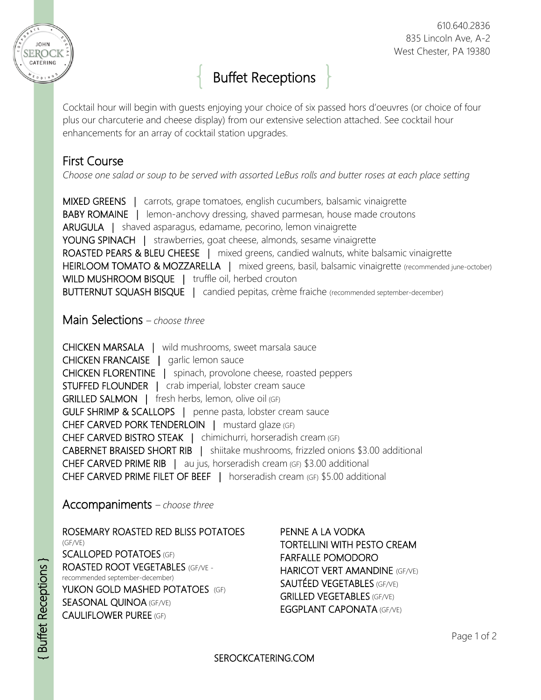

# Buffet Receptions

Cocktail hour will begin with guests enjoying your choice of six passed hors d'oeuvres (or choice of four plus our charcuterie and cheese display) from our extensive selection attached. See cocktail hour enhancements for an array of cocktail station upgrades.

## First Course

*Choose one salad or soup to be served with assorted LeBus rolls and butter roses at each place setting*

MIXED GREENS | carrots, grape tomatoes, english cucumbers, balsamic vinaigrette BABY ROMAINE | lemon-anchovy dressing, shaved parmesan, house made croutons ARUGULA | shaved asparagus, edamame, pecorino, lemon vinaigrette YOUNG SPINACH | strawberries, goat cheese, almonds, sesame vinaigrette ROASTED PEARS & BLEU CHEESE | mixed greens, candied walnuts, white balsamic vinaigrette HEIRLOOM TOMATO & MOZZARELLA | mixed greens, basil, balsamic vinaigrette (recommended june-october) WILD MUSHROOM BISQUE | truffle oil, herbed crouton BUTTERNUT SQUASH BISQUE | candied pepitas, crème fraiche (recommended september-december)

Main Selections *– choose three*

CHICKEN MARSALA | wild mushrooms, sweet marsala sauce CHICKEN FRANCAISE | garlic lemon sauce CHICKEN FLORENTINE | spinach, provolone cheese, roasted peppers STUFFED FLOUNDER | crab imperial, lobster cream sauce GRILLED SALMON | fresh herbs, lemon, olive oil (GF) GULF SHRIMP & SCALLOPS | penne pasta, lobster cream sauce CHEF CARVED PORK TENDERLOIN | mustard glaze (GF) CHEF CARVED BISTRO STEAK | chimichurri, horseradish cream (GF) CABERNET BRAISED SHORT RIB | shiitake mushrooms, frizzled onions \$3.00 additional CHEF CARVED PRIME RIB | au jus, horseradish cream (GF) \$3.00 additional CHEF CARVED PRIME FILET OF BEEF | horseradish cream (GF) \$5.00 additional

Accompaniments *– choose three*

ROSEMARY ROASTED RED BLISS POTATOES (GF/VE) SCALLOPED POTATOES (GF) ROASTED ROOT VEGETABLES (GF/VE recommended september-december) YUKON GOLD MASHED POTATOES (GF) SEASONAL QUINOA (GF/VE) CAULIFLOWER PUREE (GF)

PENNE A LA VODKA TORTELLINI WITH PESTO CREAM FARFALLE POMODORO HARICOT VERT AMANDINE (GF/VE) SAUTÉED VEGETABLES (GF/VE) GRILLED VEGETABLES (GF/VE) EGGPLANT CAPONATA (GF/VE)

{ Buffet Receptions } **Buffet Receptions }**